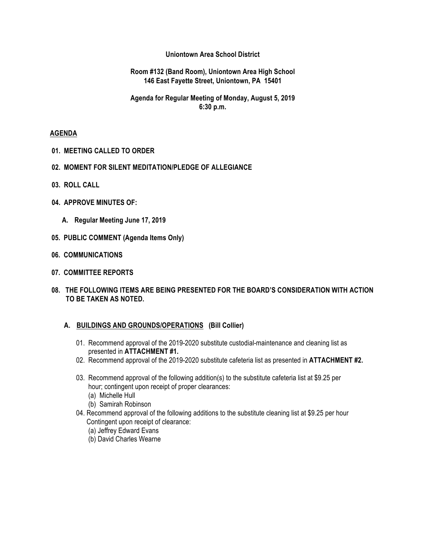## **Uniontown Area School District**

### **Room #132 (Band Room), Uniontown Area High School 146 East Fayette Street, Uniontown, PA 15401**

## **Agenda for Regular Meeting of Monday, August 5, 2019 6:30 p.m.**

### **AGENDA**

- **01. MEETING CALLED TO ORDER**
- **02. MOMENT FOR SILENT MEDITATION/PLEDGE OF ALLEGIANCE**
- **03. ROLL CALL**
- **04. APPROVE MINUTES OF:**
	- **A. Regular Meeting June 17, 2019**
- **05. PUBLIC COMMENT (Agenda Items Only)**
- **06. COMMUNICATIONS**
- **07. COMMITTEE REPORTS**
- **08. THE FOLLOWING ITEMS ARE BEING PRESENTED FOR THE BOARD'S CONSIDERATION WITH ACTION TO BE TAKEN AS NOTED.**
	- **A. BUILDINGS AND GROUNDS/OPERATIONS (Bill Collier)**
		- 01. Recommend approval of the 2019-2020 substitute custodial-maintenance and cleaning list as presented in **ATTACHMENT #1.**
		- 02. Recommend approval of the 2019-2020 substitute cafeteria list as presented in **ATTACHMENT #2.**
		- 03. Recommend approval of the following addition(s) to the substitute cafeteria list at \$9.25 per hour; contingent upon receipt of proper clearances:
			- (a) Michelle Hull
			- (b) Samirah Robinson
		- 04. Recommend approval of the following additions to the substitute cleaning list at \$9.25 per hour Contingent upon receipt of clearance:
			- (a) Jeffrey Edward Evans
			- (b) David Charles Wearne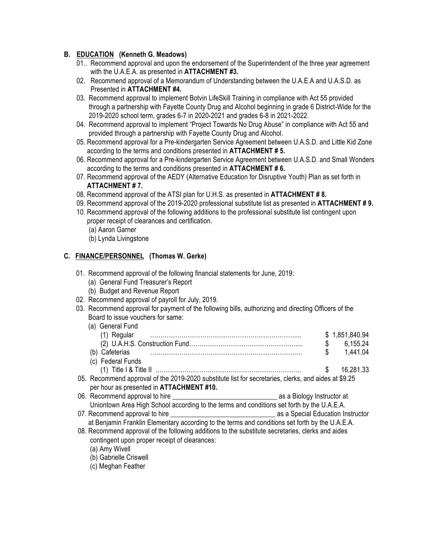# **B. EDUCATION (Kenneth G. Meadows)**

- 01.. Recommend approval and upon the endorsement of the Superintendent of the three year agreement with the U.A.E.A. as presented in **ATTACHMENT #3.**
- 02. Recommend approval of a Memorandum of Understanding between the U.A.E.A and U.A.S.D. as Presented in **ATTACHMENT #4.**
- 03. Recommend approval to implement Botvin LifeSkill Training in compliance with Act 55 provided through a partnership with Fayette County Drug and Alcohol beginning in grade 6 District-Wide for the 2019-2020 school term, grades 6-7 in 2020-2021 and grades 6-8 in 2021-2022.
- 04. Recommend approval to implement "Project Towards No Drug Abuse" in compliance with Act 55 and provided through a partnership with Fayette County Drug and Alcohol.
- 05. Recommend approval for a Pre-kindergarten Service Agreement between U.A.S.D. and Little Kid Zone according to the terms and conditions presented in **ATTACHMENT # 5.**
- 06. Recommend approval for a Pre-kindergarten Service Agreement between U.A.S.D. and Small Wonders according to the terms and conditions presented in **ATTACHMENT # 6.**
- 07. Recommend approval of the AEDY (Alternative Education for Disruptive Youth) Plan as set forth in **ATTACHMENT # 7.**
- 08. Recommend approval of the ATSI plan for U.H.S. as presented in **ATTACHMENT # 8.**
- 09. Recommend approval of the 2019-2020 professional substitute list as presented in **ATTACHMENT # 9.**
- 10. Recommend approval of the following additions to the professional substitute list contingent upon proper receipt of clearances and certification.
	- (a) Aaron Garner
	- (b) Lynda Livingstone

# **C. FINANCE/PERSONNEL (Thomas W. Gerke)**

- 01. Recommend approval of the following financial statements for June, 2019:
	- (a) General Fund Treasurer's Report
	- (b) Budget and Revenue Report
- 02. Recommend approval of payroll for July, 2019.
- 03. Recommend approval for payment of the following bills, authorizing and directing Officers of the Board to issue vouchers for same:

| (a) General Fund                                                                                                                                                     |                 |
|----------------------------------------------------------------------------------------------------------------------------------------------------------------------|-----------------|
| (1) Regular                                                                                                                                                          | 1,851,840.94    |
|                                                                                                                                                                      | \$<br>6,155.24  |
| (b) Cafeterias                                                                                                                                                       | \$<br>1,441.04  |
| (c) Federal Funds                                                                                                                                                    |                 |
|                                                                                                                                                                      | \$<br>16,281.33 |
| 05. Recommend approval of the 2019-2020 substitute list for secretaries, clerks, and aides at \$9.25                                                                 |                 |
| per hour as presented in ATTACHMENT #10.                                                                                                                             |                 |
| 06. Recommend approval to hire <b>contained</b> as a Biology Instructor at                                                                                           |                 |
| Uniontown Area High School according to the terms and conditions set forth by the U.A.E.A.                                                                           |                 |
|                                                                                                                                                                      |                 |
| at Benjamin Franklin Elementary according to the terms and conditions set forth by the U.A.E.A.                                                                      |                 |
| 08. Recommend approval of the following additions to the substitute secretaries, clerks and aides<br>contingent upon proper receipt of clearances:<br>(a) Amy Wivell |                 |

- (b) Gabrielle Criswell
- 
- (c) Meghan Feather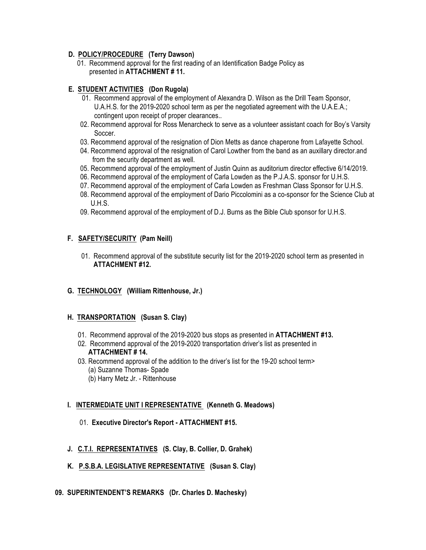## **D. POLICY/PROCEDURE (Terry Dawson)**

 01. Recommend approval for the first reading of an Identification Badge Policy as presented in **ATTACHMENT # 11.**

# **E. STUDENT ACTIVITIES (Don Rugola)**

- 01. Recommend approval of the employment of Alexandra D. Wilson as the Drill Team Sponsor, U.A.H.S. for the 2019-2020 school term as per the negotiated agreement with the U.A.E.A.; contingent upon receipt of proper clearances..
- 02. Recommend approval for Ross Menarcheck to serve as a volunteer assistant coach for Boy's Varsity Soccer.
- 03. Recommend approval of the resignation of Dion Metts as dance chaperone from Lafayette School.
- 04. Recommend approval of the resignation of Carol Lowther from the band as an auxillary director.and from the security department as well.
- 05. Recommend approval of the employment of Justin Quinn as auditorium director effective 6/14/2019.
- 06. Recommend approval of the employment of Carla Lowden as the P.J.A.S. sponsor for U.H.S.
- 07. Recommend approval of the employment of Carla Lowden as Freshman Class Sponsor for U.H.S.
- 08. Recommend approval of the employment of Dario Piccolomini as a co-sponsor for the Science Club at U.H.S.
- 09. Recommend approval of the employment of D.J. Burns as the Bible Club sponsor for U.H.S.

## **F. SAFETY/SECURITY (Pam Neill)**

- 01. Recommend approval of the substitute security list for the 2019-2020 school term as presented in **ATTACHMENT #12.**
- **G. TECHNOLOGY (William Rittenhouse, Jr.)**

### **H. TRANSPORTATION (Susan S. Clay)**

- 01. Recommend approval of the 2019-2020 bus stops as presented in **ATTACHMENT #13.**
- 02. Recommend approval of the 2019-2020 transportation driver's list as presented in **ATTACHMENT # 14.**
- 03. Recommend approval of the addition to the driver's list for the 19-20 school term>
	- (a) Suzanne Thomas- Spade
	- (b) Harry Metz Jr. Rittenhouse

### **I. INTERMEDIATE UNIT I REPRESENTATIVE (Kenneth G. Meadows)**

- 01. **Executive Director's Report - ATTACHMENT #15.**
- **J. C.T.I. REPRESENTATIVES (S. Clay, B. Collier, D. Grahek)**
- **K. P.S.B.A. LEGISLATIVE REPRESENTATIVE (Susan S. Clay)**

### **09. SUPERINTENDENT'S REMARKS (Dr. Charles D. Machesky)**